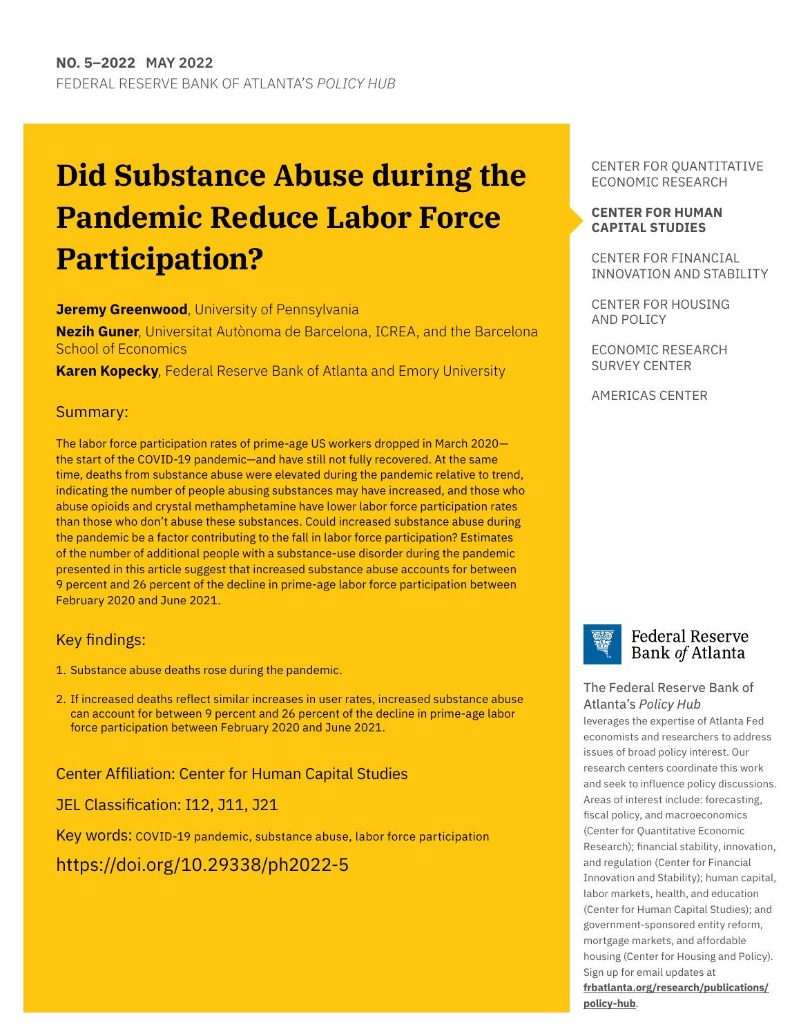## **Did Substance Abuse during the Pandemic Reduce Labor Force Participation?**

#### **Jeremy Greenwood**, University of Pennsylvania

**Nezih Guner**, Universitat Autònoma de Barcelona, ICREA, and the Barcelona School of Economics

**Karen Kopecky**, Federal Reserve Bank of Atlanta and Emory University

#### Summary:

The labor force participation rates of prime-age US workers dropped in March 2020 the start of the COVID-19 pandemic—and have still not fully recovered. At the same time, deaths from substance abuse were elevated during the pandemic relative to trend, indicating the number of people abusing substances may have increased, and those who abuse opioids and crystal methamphetamine have lower labor force participation rates than those who don't abuse these substances. Could increased substance abuse during the pandemic be a factor contributing to the fall in labor force participation? Estimates of the number of additional people with a substance-use disorder during the pandemic presented in this article suggest that increased substance abuse accounts for between 9 percent and 26 percent of the decline in prime-age labor force participation between February 2020 and June 2021.

#### Key findings:

- 1. Substance abuse deaths rose during the pandemic.
- 2. If increased deaths reflect similar increases in user rates, increased substance abuse can account for between 9 percent and 26 percent of the decline in prime-age labor force participation between February 2020 and June 2021.

Center Affiliation: Center for Human Capital Studies

JEL Classification: I12, J11, J21

Key words: COVID-19 pandemic, substance abuse, labor force participation

<https://doi.org/10.29338/ph2022-5>

CENTER FOR QUANTITATIVE ECONOMIC RESEARCH

#### **[CENTER FOR HUMAN](https://www.frbatlanta.org/chcs#:~:text=The%20Center%20for%20Human%20Capital,and%20outside%20the%20Atlanta%20Fed.) [CAPITAL STUDIES](https://www.frbatlanta.org/chcs#:~:text=The%20Center%20for%20Human%20Capital,and%20outside%20the%20Atlanta%20Fed.)**

CENTER FOR FINANCIAL INNOVATION AND STABILITY

CENTER FOR HOUSING AND POLICY

ECONOMIC RESEARCH SURVEY CENTER

AMERICAS CENTER



#### **Federal Reserve** Bank of Atlanta

#### [The Federal Reserve Bank of](http://frbatlanta.org/)  Atlanta's *Policy Hub*

leverages the expertise of Atlanta Fed economists and researchers to address issues of broad policy interest. Our research centers coordinate this work and seek to influence policy discussions. Areas of interest include: forecasting, fiscal policy, and macroeconomics (Center for Quantitative Economic Research); financial stability, innovation, and regulation (Center for Financial Innovation and Stability); human capital, labor markets, health, and education (Center for Human Capital Studies); and government-sponsored entity reform, mortgage markets, and affordable housing (Center for Housing and Policy). Sign up for email updates at

**[frbatlanta.org/research/publications/](http://frbatlanta.org/research/publications/policy-hub) [policy-hub](http://frbatlanta.org/research/publications/policy-hub)**.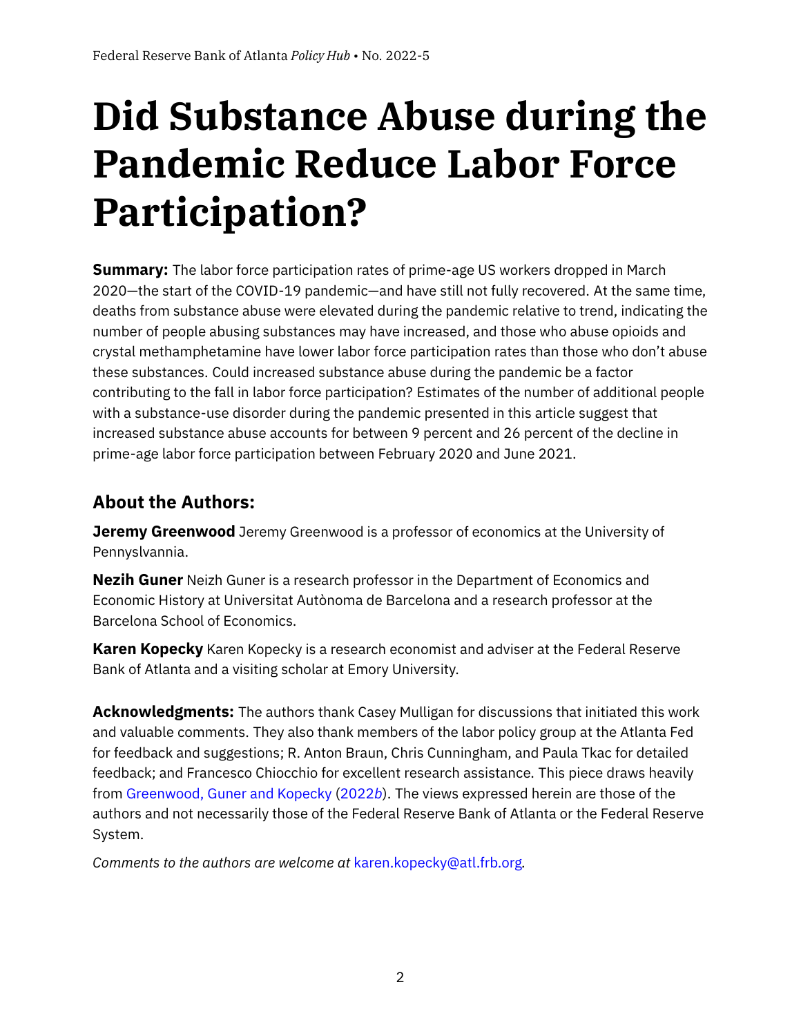# **Did Substance Abuse during the Pandemic Reduce Labor Force Participation?**

**Summary:** The labor force participation rates of prime-age US workers dropped in March 2020—the start of the COVID-19 pandemic—and have still not fully recovered. At the same time, deaths from substance abuse were elevated during the pandemic relative to trend, indicating the number of people abusing substances may have increased, and those who abuse opioids and crystal methamphetamine have lower labor force participation rates than those who don't abuse these substances. Could increased substance abuse during the pandemic be a factor contributing to the fall in labor force participation? Estimates of the number of additional people with a substance-use disorder during the pandemic presented in this article suggest that increased substance abuse accounts for between 9 percent and 26 percent of the decline in prime-age labor force participation between February 2020 and June 2021.

## **About the Authors:**

**Jeremy Greenwood** Jeremy Greenwood is a professor of economics at the University of Pennyslvannia.

**Nezih Guner** Neizh Guner is a research professor in the Department of Economics and Economic History at Universitat Autònoma de Barcelona and a research professor at the Barcelona School of Economics.

**Karen Kopecky** Karen Kopecky is a research economist and adviser at the Federal Reserve Bank of Atlanta and a visiting scholar at Emory University.

**Acknowledgments:** The authors thank Casey Mulligan for discussions that initiated this work and valuable comments. They also thank members of the labor policy group at the Atlanta Fed for feedback and suggestions; R. Anton Braun, Chris Cunningham, and Paula Tkac for detailed feedback; and Francesco Chiocchio for excellent research assistance. This piece draws heavily from [Greenwood, Guner and Kopecky](#page-14-0) [\(2022](#page-14-0)*b*). The views expressed herein are those of the authors and not necessarily those of the Federal Reserve Bank of Atlanta or the Federal Reserve System.

*Comments to the authors are welcome at* [karen.kopecky@atl.frb.org](mailto:karen.kopecky@atl.frb.org)*.*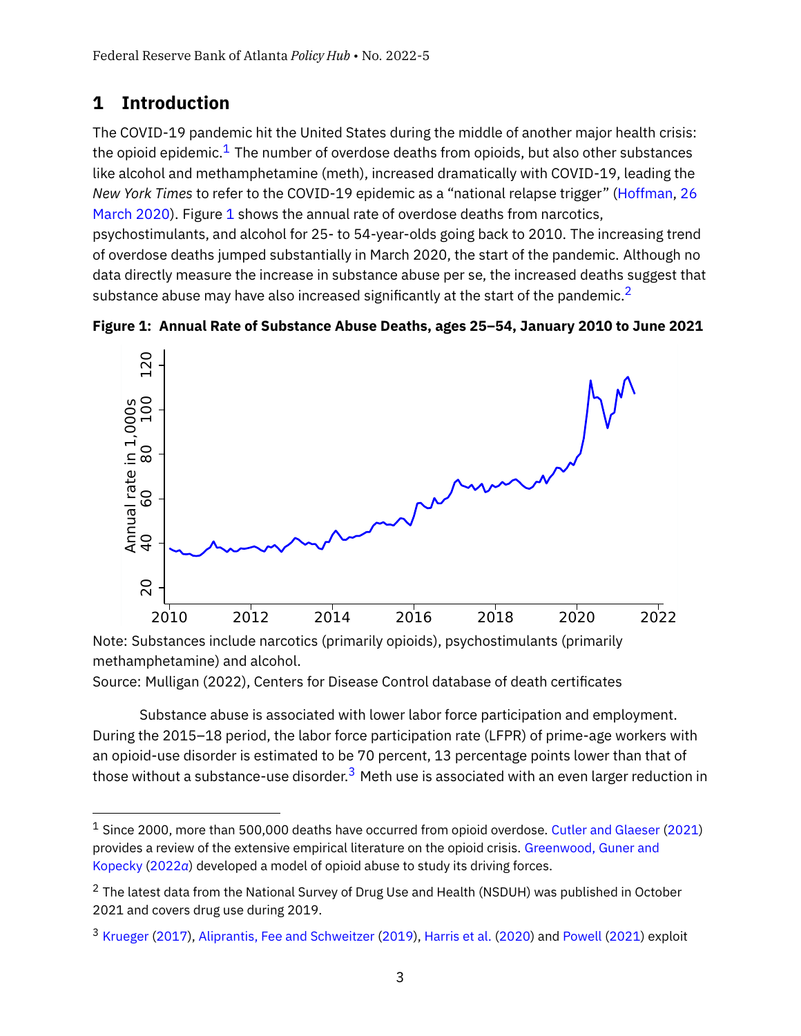## **1 Introduction**

The COVID-19 pandemic hit the United States during the middle of another major health crisis: the opioid epidemic.<sup>[1](#page-2-0)</sup> The number of overdose deaths from opioids, but also other substances like alcohol and methamphetamine (meth), increased dramatically with COVID-19, leading the *New York Times* to refer to the COVID-19 epidemic as a "national relapse trigger" [\(Hoffman,](#page-14-1) [26](#page-14-1) [March 2020\)](#page-14-1). Figure [1](#page-2-1) shows the annual rate of overdose deaths from narcotics,

psychostimulants, and alcohol for 25- to 54-year-olds going back to 2010. The increasing trend of overdose deaths jumped substantially in March 2020, the start of the pandemic. Although no data directly measure the increase in substance abuse per se, the increased deaths suggest that substance abuse may have also increased significantly at the start of the pandemic.<sup>[2](#page-2-2)</sup>

<span id="page-2-1"></span>



Note: Substances include narcotics (primarily opioids), psychostimulants (primarily methamphetamine) and alcohol.

Source: Mulligan (2022), Centers for Disease Control database of death certificates

Substance abuse is associated with lower labor force participation and employment. During the 2015–18 period, the labor force participation rate (LFPR) of prime-age workers with an opioid-use disorder is estimated to be 70 percent, 13 percentage points lower than that of those without a substance-use disorder. $^3$  $^3$  Meth use is associated with an even larger reduction in

<span id="page-2-0"></span> $1$  Since 2000, more than 500,000 deaths have occurred from opioid overdose. [Cutler and Glaeser](#page-14-2) [\(2021\)](#page-14-2) provides a review of the extensive empirical literature on the opioid crisis. [Greenwood, Guner and](#page-14-3) [Kopecky](#page-14-3) [\(2022](#page-14-3)*a*) developed a model of opioid abuse to study its driving forces.

<span id="page-2-2"></span> $2$  The latest data from the National Survey of Drug Use and Health (NSDUH) was published in October 2021 and covers drug use during 2019.

<span id="page-2-3"></span><sup>3</sup> [Krueger](#page-14-4) [\(2017\)](#page-14-4), [Aliprantis, Fee and Schweitzer](#page-13-0) [\(2019\)](#page-13-0), [Harris et al.](#page-14-5) [\(2020\)](#page-14-5) and [Powell](#page-14-6) [\(2021\)](#page-14-6) exploit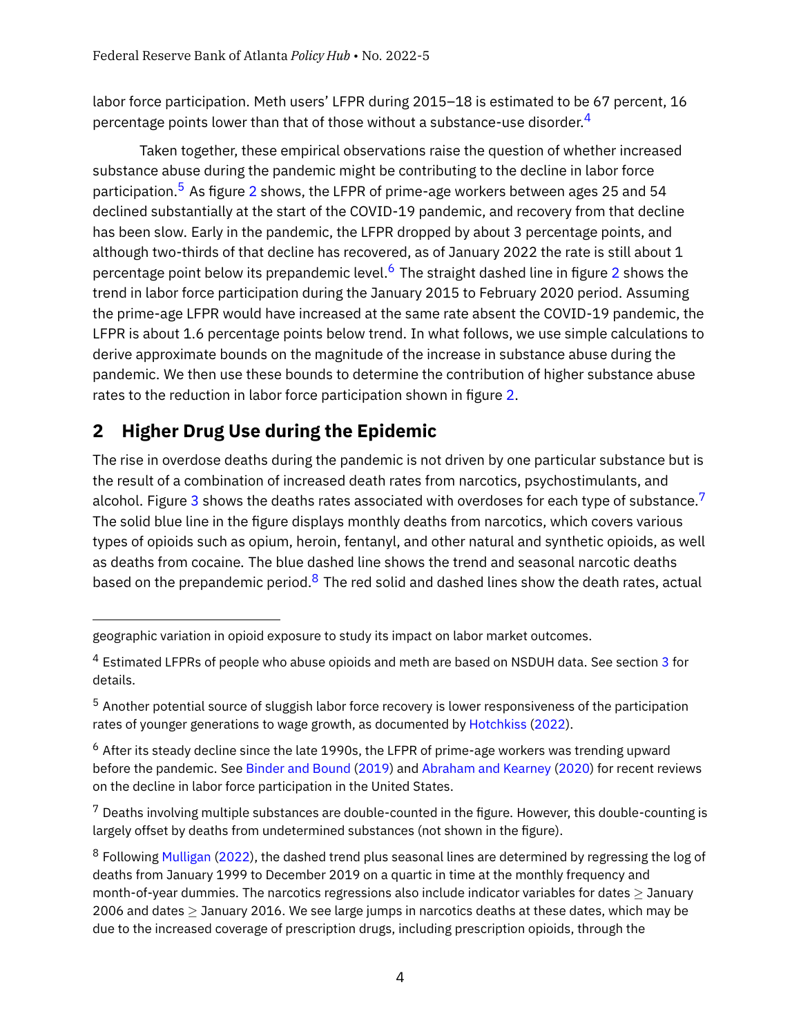labor force participation. Meth users' LFPR during 2015–18 is estimated to be 67 percent, 16 percentage points lower than that of those without a substance-use disorder.<sup>[4](#page-3-0)</sup>

Taken together, these empirical observations raise the question of whether increased substance abuse during the pandemic might be contributing to the decline in labor force participation.<sup>[5](#page-3-1)</sup> As figure [2](#page-4-0) shows, the LFPR of prime-age workers between ages 25 and 54 declined substantially at the start of the COVID-19 pandemic, and recovery from that decline has been slow. Early in the pandemic, the LFPR dropped by about 3 percentage points, and although two-thirds of that decline has recovered, as of January 2022 the rate is still about 1 percentage point below its prepandemic level.<sup>[6](#page-3-2)</sup> The straight dashed line in figure [2](#page-4-0) shows the trend in labor force participation during the January 2015 to February 2020 period. Assuming the prime-age LFPR would have increased at the same rate absent the COVID-19 pandemic, the LFPR is about 1.6 percentage points below trend. In what follows, we use simple calculations to derive approximate bounds on the magnitude of the increase in substance abuse during the pandemic. We then use these bounds to determine the contribution of higher substance abuse rates to the reduction in labor force participation shown in figure [2.](#page-4-0)

## **2 Higher Drug Use during the Epidemic**

The rise in overdose deaths during the pandemic is not driven by one particular substance but is the result of a combination of increased death rates from narcotics, psychostimulants, and alcohol. Figure [3](#page-5-0) shows the deaths rates associated with overdoses for each type of substance.<sup>[7](#page-3-3)</sup> The solid blue line in the figure displays monthly deaths from narcotics, which covers various types of opioids such as opium, heroin, fentanyl, and other natural and synthetic opioids, as well as deaths from cocaine. The blue dashed line shows the trend and seasonal narcotic deaths based on the prepandemic period. $8$  The red solid and dashed lines show the death rates, actual

geographic variation in opioid exposure to study its impact on labor market outcomes.

<span id="page-3-0"></span><sup>&</sup>lt;sup>4</sup> Estimated LFPRs of people who abuse opioids and meth are based on NSDUH data. See section [3](#page-8-0) for details.

<span id="page-3-1"></span><sup>&</sup>lt;sup>5</sup> Another potential source of sluggish labor force recovery is lower responsiveness of the participation rates of younger generations to wage growth, as documented by [Hotchkiss](#page-14-7) [\(2022\)](#page-14-7).

<span id="page-3-2"></span> $6$  After its steady decline since the late 1990s, the LFPR of prime-age workers was trending upward before the pandemic. See [Binder and Bound](#page-13-1) [\(2019\)](#page-13-1) and [Abraham and Kearney](#page-13-2) [\(2020\)](#page-13-2) for recent reviews on the decline in labor force participation in the United States.

<span id="page-3-3"></span> $7$  Deaths involving multiple substances are double-counted in the figure. However, this double-counting is largely offset by deaths from undetermined substances (not shown in the figure).

<span id="page-3-4"></span><sup>&</sup>lt;sup>8</sup> Following [Mulligan](#page-14-8) [\(2022\)](#page-14-8), the dashed trend plus seasonal lines are determined by regressing the log of deaths from January 1999 to December 2019 on a quartic in time at the monthly frequency and month-of-year dummies. The narcotics regressions also include indicator variables for dates  $>$  January 2006 and dates  $\geq$  January 2016. We see large jumps in narcotics deaths at these dates, which may be due to the increased coverage of prescription drugs, including prescription opioids, through the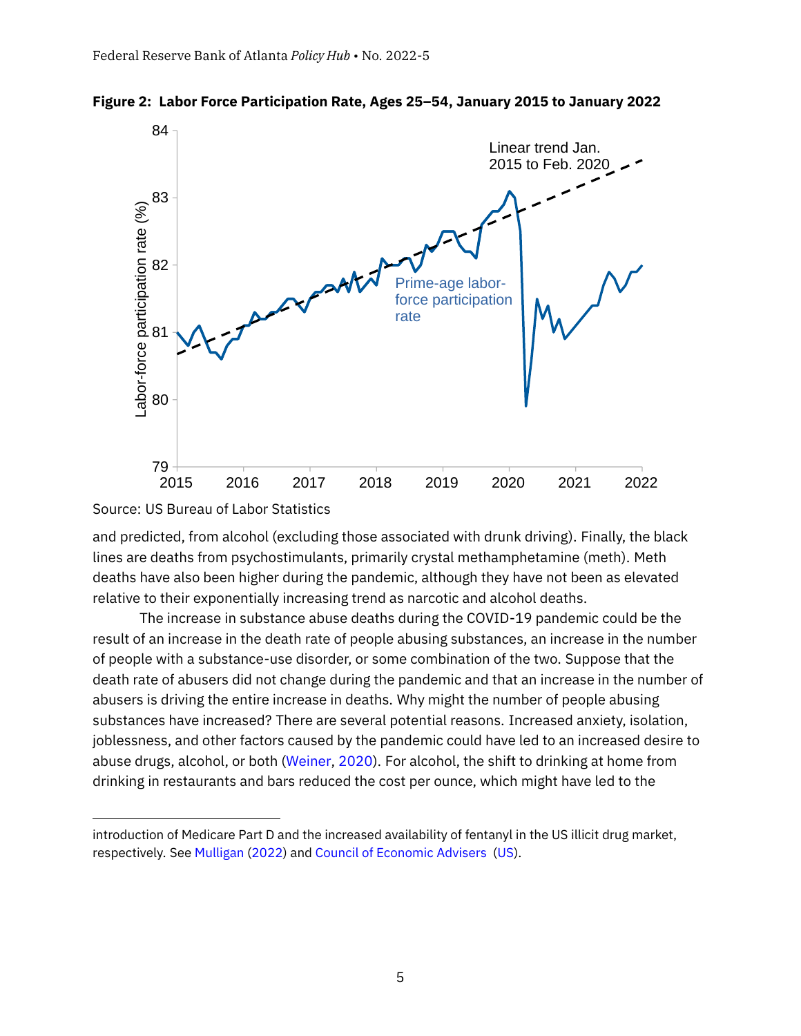

<span id="page-4-0"></span>

Source: US Bureau of Labor Statistics

and predicted, from alcohol (excluding those associated with drunk driving). Finally, the black lines are deaths from psychostimulants, primarily crystal methamphetamine (meth). Meth deaths have also been higher during the pandemic, although they have not been as elevated relative to their exponentially increasing trend as narcotic and alcohol deaths.

The increase in substance abuse deaths during the COVID-19 pandemic could be the result of an increase in the death rate of people abusing substances, an increase in the number of people with a substance-use disorder, or some combination of the two. Suppose that the death rate of abusers did not change during the pandemic and that an increase in the number of abusers is driving the entire increase in deaths. Why might the number of people abusing substances have increased? There are several potential reasons. Increased anxiety, isolation, joblessness, and other factors caused by the pandemic could have led to an increased desire to abuse drugs, alcohol, or both [\(Weiner,](#page-15-0) [2020\)](#page-15-0). For alcohol, the shift to drinking at home from drinking in restaurants and bars reduced the cost per ounce, which might have led to the

introduction of Medicare Part D and the increased availability of fentanyl in the US illicit drug market, respectively. See [Mulligan](#page-14-8) [\(2022\)](#page-14-8) and [Council of Economic Advisers](#page-13-3) [\(US\)](#page-13-3).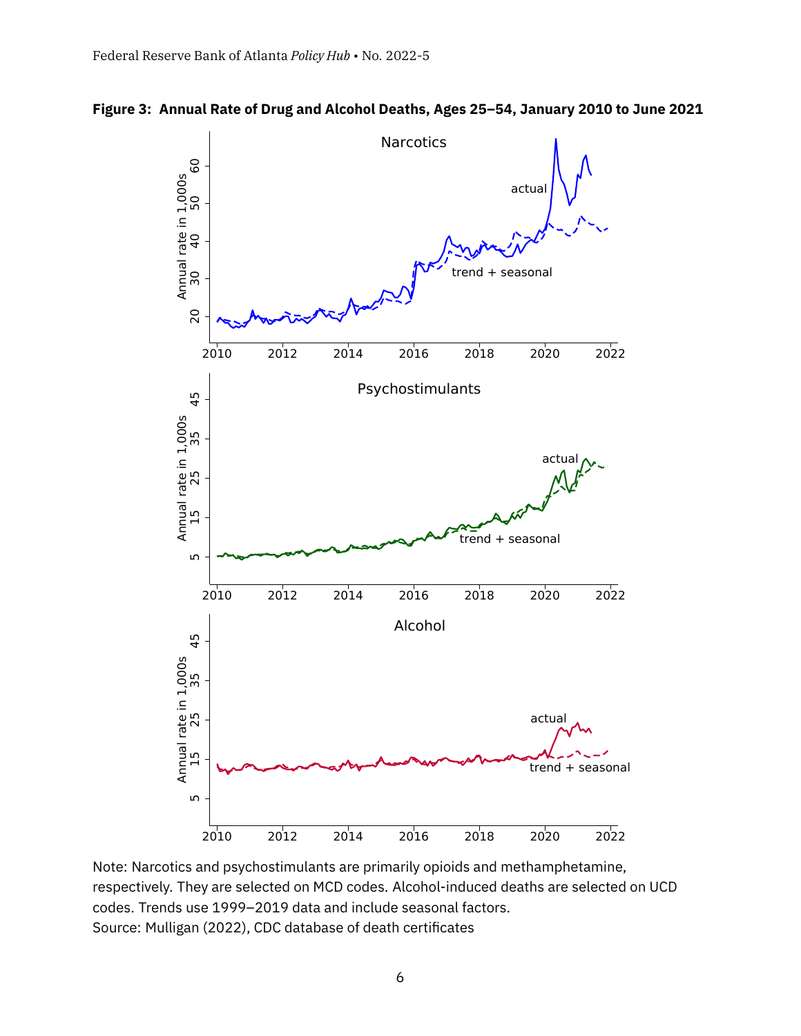

<span id="page-5-0"></span>**Figure 3: Annual Rate of Drug and Alcohol Deaths, Ages 25–54, January 2010 to June 2021**

Note: Narcotics and psychostimulants are primarily opioids and methamphetamine, respectively. They are selected on MCD codes. Alcohol-induced deaths are selected on UCD codes. Trends use 1999–2019 data and include seasonal factors. Source: Mulligan (2022), CDC database of death certificates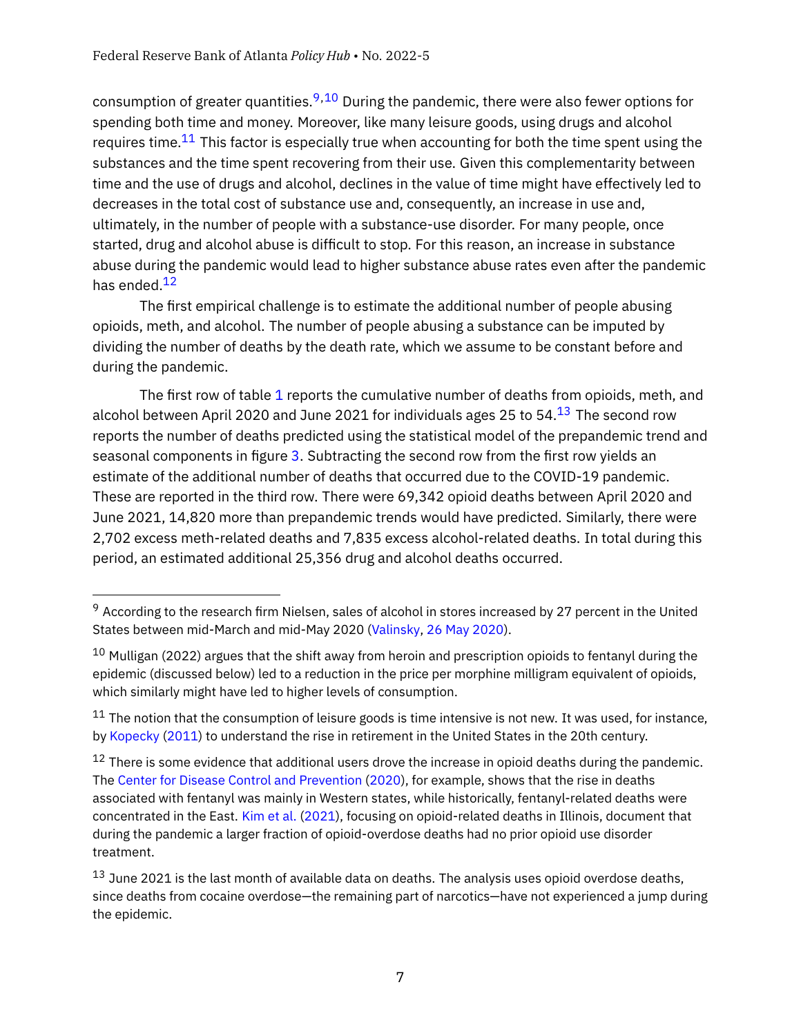consumption of greater quantities.<sup>[9,](#page-6-0)[10](#page-6-1)</sup> During the pandemic, there were also fewer options for spending both time and money. Moreover, like many leisure goods, using drugs and alcohol requires time. $11$  This factor is especially true when accounting for both the time spent using the substances and the time spent recovering from their use. Given this complementarity between time and the use of drugs and alcohol, declines in the value of time might have effectively led to decreases in the total cost of substance use and, consequently, an increase in use and, ultimately, in the number of people with a substance-use disorder. For many people, once started, drug and alcohol abuse is difficult to stop. For this reason, an increase in substance abuse during the pandemic would lead to higher substance abuse rates even after the pandemic has ended.<sup>[12](#page-6-3)</sup>

The first empirical challenge is to estimate the additional number of people abusing opioids, meth, and alcohol. The number of people abusing a substance can be imputed by dividing the number of deaths by the death rate, which we assume to be constant before and during the pandemic.

The first row of table [1](#page-7-0) reports the cumulative number of deaths from opioids, meth, and alcohol between April 2020 and June 2021 for individuals ages 25 to 54. $^{13}$  $^{13}$  $^{13}$  The second row reports the number of deaths predicted using the statistical model of the prepandemic trend and seasonal components in figure [3.](#page-5-0) Subtracting the second row from the first row yields an estimate of the additional number of deaths that occurred due to the COVID-19 pandemic. These are reported in the third row. There were 69,342 opioid deaths between April 2020 and June 2021, 14,820 more than prepandemic trends would have predicted. Similarly, there were 2,702 excess meth-related deaths and 7,835 excess alcohol-related deaths. In total during this period, an estimated additional 25,356 drug and alcohol deaths occurred.

<span id="page-6-0"></span> $9$  According to the research firm Nielsen, sales of alcohol in stores increased by 27 percent in the United States between mid-March and mid-May 2020 [\(Valinsky,](#page-15-1) [26 May 2020\)](#page-15-1).

<span id="page-6-1"></span> $10$  Mulligan (2022) argues that the shift away from heroin and prescription opioids to fentanyl during the epidemic (discussed below) led to a reduction in the price per morphine milligram equivalent of opioids, which similarly might have led to higher levels of consumption.

<span id="page-6-2"></span> $11$  The notion that the consumption of leisure goods is time intensive is not new. It was used, for instance, by [Kopecky](#page-14-9) [\(2011\)](#page-14-9) to understand the rise in retirement in the United States in the 20th century.

<span id="page-6-3"></span> $12$  There is some evidence that additional users drove the increase in opioid deaths during the pandemic. The [Center for Disease Control and Prevention](#page-13-4) [\(2020\)](#page-13-4), for example, shows that the rise in deaths associated with fentanyl was mainly in Western states, while historically, fentanyl-related deaths were concentrated in the East. [Kim et al.](#page-14-10) [\(2021\)](#page-14-10), focusing on opioid-related deaths in Illinois, document that during the pandemic a larger fraction of opioid-overdose deaths had no prior opioid use disorder treatment.

<span id="page-6-4"></span> $13$  June 2021 is the last month of available data on deaths. The analysis uses opioid overdose deaths, since deaths from cocaine overdose—the remaining part of narcotics—have not experienced a jump during the epidemic.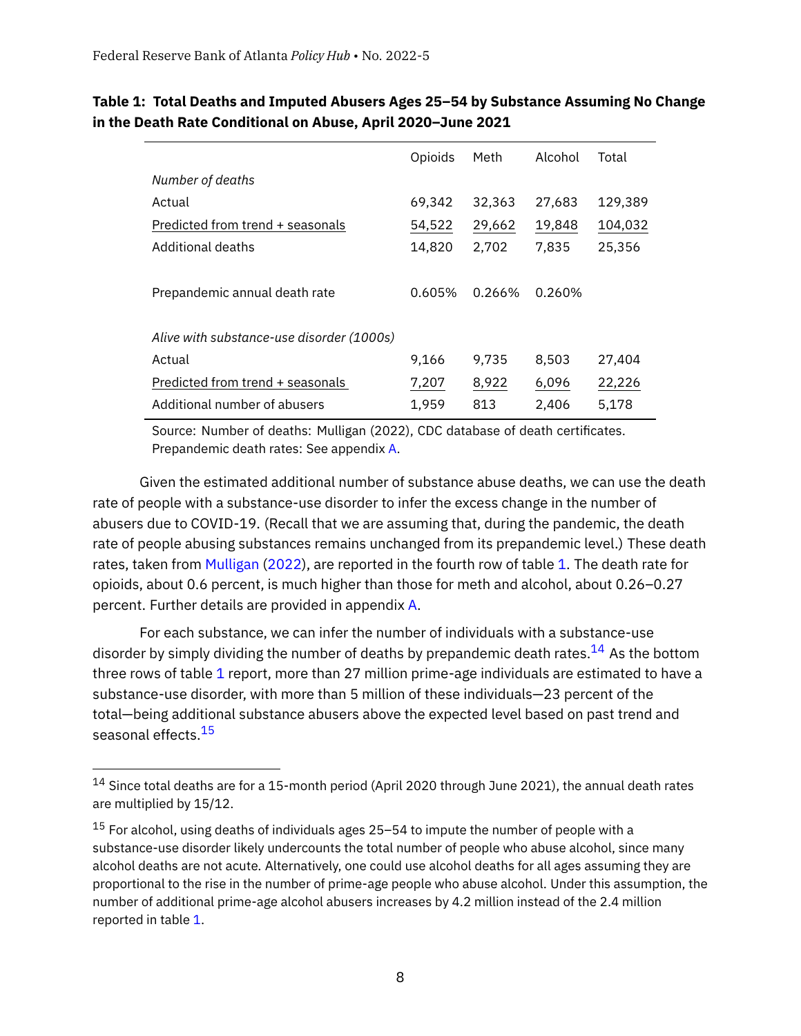|                                           | Opioids | Meth   | Alcohol | Total   |
|-------------------------------------------|---------|--------|---------|---------|
| Number of deaths                          |         |        |         |         |
| Actual                                    | 69.342  | 32,363 | 27,683  | 129,389 |
| Predicted from trend + seasonals          | 54,522  | 29,662 | 19,848  | 104,032 |
| Additional deaths                         | 14,820  | 2,702  | 7.835   | 25,356  |
| Prepandemic annual death rate             | 0.605%  | 0.266% | 0.260%  |         |
| Alive with substance-use disorder (1000s) |         |        |         |         |
| Actual                                    | 9.166   | 9,735  | 8.503   | 27,404  |
| Predicted from trend + seasonals          | 7,207   | 8,922  | 6,096   | 22,226  |
| Additional number of abusers              | 1,959   | 813    | 2.406   | 5,178   |

### <span id="page-7-0"></span>**Table 1: Total Deaths and Imputed Abusers Ages 25–54 by Substance Assuming No Change in the Death Rate Conditional on Abuse, April 2020–June 2021**

Source: Number of deaths: Mulligan (2022), CDC database of death certificates. Prepandemic death rates: See appendix [A.](#page-13-5)

Given the estimated additional number of substance abuse deaths, we can use the death rate of people with a substance-use disorder to infer the excess change in the number of abusers due to COVID-19. (Recall that we are assuming that, during the pandemic, the death rate of people abusing substances remains unchanged from its prepandemic level.) These death rates, taken from [Mulligan](#page-14-8) [\(2022\)](#page-14-8), are reported in the fourth row of table [1.](#page-7-0) The death rate for opioids, about 0.6 percent, is much higher than those for meth and alcohol, about 0.26–0.27 percent. Further details are provided in appendix [A.](#page-13-5)

For each substance, we can infer the number of individuals with a substance-use disorder by simply dividing the number of deaths by prepandemic death rates. $^{14}$  $^{14}$  $^{14}$  As the bottom three rows of table [1](#page-7-0) report, more than 27 million prime-age individuals are estimated to have a substance-use disorder, with more than 5 million of these individuals—23 percent of the total—being additional substance abusers above the expected level based on past trend and seasonal effects.<sup>[15](#page-7-2)</sup>

<span id="page-7-1"></span> $14$  Since total deaths are for a 15-month period (April 2020 through June 2021), the annual death rates are multiplied by 15/12.

<span id="page-7-2"></span> $15$  For alcohol, using deaths of individuals ages 25–54 to impute the number of people with a substance-use disorder likely undercounts the total number of people who abuse alcohol, since many alcohol deaths are not acute. Alternatively, one could use alcohol deaths for all ages assuming they are proportional to the rise in the number of prime-age people who abuse alcohol. Under this assumption, the number of additional prime-age alcohol abusers increases by 4.2 million instead of the 2.4 million reported in table [1.](#page-7-0)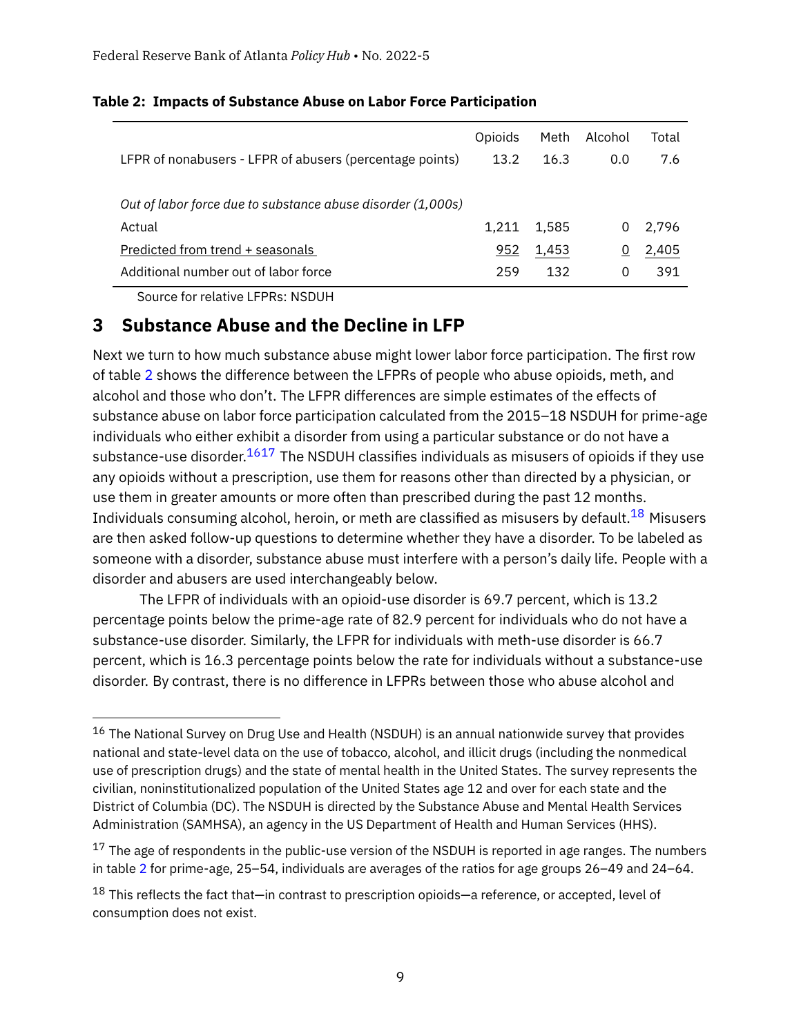|                                                             | Opioids | Meth  | Alcohol | Total |
|-------------------------------------------------------------|---------|-------|---------|-------|
| LFPR of nonabusers - LFPR of abusers (percentage points)    | 13.2    | 16.3  | 0.0     | 7.6   |
|                                                             |         |       |         |       |
| Out of labor force due to substance abuse disorder (1,000s) |         |       |         |       |
| Actual                                                      | 1.211   | 1.585 | 0       | 2.796 |
| Predicted from trend + seasonals                            | 952     | 1,453 |         | 2,405 |
| Additional number out of labor force                        | 259     | 132   | 0       | 391   |

#### <span id="page-8-1"></span>**Table 2: Impacts of Substance Abuse on Labor Force Participation**

Source for relative LFPRs: NSDUH

## <span id="page-8-0"></span>**3 Substance Abuse and the Decline in LFP**

Next we turn to how much substance abuse might lower labor force participation. The first row of table [2](#page-8-1) shows the difference between the LFPRs of people who abuse opioids, meth, and alcohol and those who don't. The LFPR differences are simple estimates of the effects of substance abuse on labor force participation calculated from the 2015–18 NSDUH for prime-age individuals who either exhibit a disorder from using a particular substance or do not have a substance-use disorder. $1617$  $1617$  The NSDUH classifies individuals as misusers of opioids if they use any opioids without a prescription, use them for reasons other than directed by a physician, or use them in greater amounts or more often than prescribed during the past 12 months. Individuals consuming alcohol, heroin, or meth are classified as misusers by default.<sup>[18](#page-8-4)</sup> Misusers are then asked follow-up questions to determine whether they have a disorder. To be labeled as someone with a disorder, substance abuse must interfere with a person's daily life. People with a disorder and abusers are used interchangeably below.

The LFPR of individuals with an opioid-use disorder is 69.7 percent, which is 13.2 percentage points below the prime-age rate of 82.9 percent for individuals who do not have a substance-use disorder. Similarly, the LFPR for individuals with meth-use disorder is 66.7 percent, which is 16.3 percentage points below the rate for individuals without a substance-use disorder. By contrast, there is no difference in LFPRs between those who abuse alcohol and

<span id="page-8-2"></span> $16$  The National Survey on Drug Use and Health (NSDUH) is an annual nationwide survey that provides national and state-level data on the use of tobacco, alcohol, and illicit drugs (including the nonmedical use of prescription drugs) and the state of mental health in the United States. The survey represents the civilian, noninstitutionalized population of the United States age 12 and over for each state and the District of Columbia (DC). The NSDUH is directed by the Substance Abuse and Mental Health Services Administration (SAMHSA), an agency in the US Department of Health and Human Services (HHS).

<span id="page-8-3"></span> $17$  The age of respondents in the public-use version of the NSDUH is reported in age ranges. The numbers in table [2](#page-8-1) for prime-age, 25–54, individuals are averages of the ratios for age groups 26–49 and 24–64.

<span id="page-8-4"></span> $18$  This reflects the fact that—in contrast to prescription opioids—a reference, or accepted, level of consumption does not exist.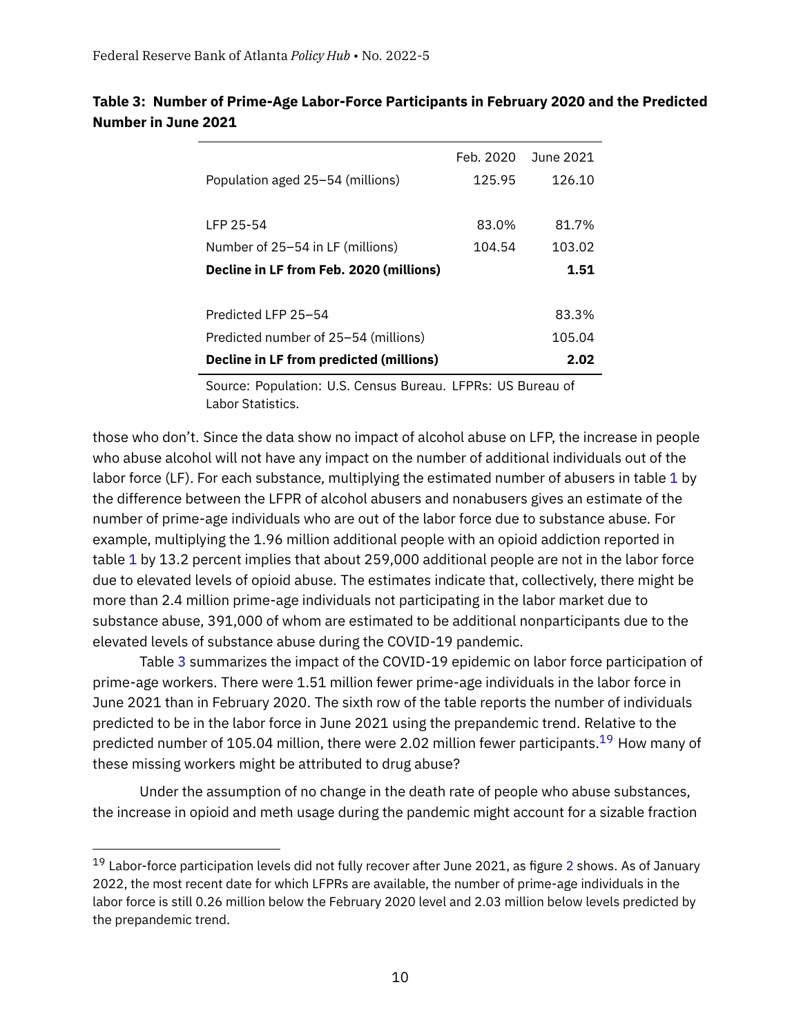|                                         |        | Feb. 2020 June 2021 |
|-----------------------------------------|--------|---------------------|
| Population aged 25–54 (millions)        | 125.95 | 126.10              |
|                                         |        |                     |
| LFP 25-54                               | 83.0%  | 81.7%               |
| Number of 25–54 in LF (millions)        | 104.54 | 103.02              |
| Decline in LF from Feb. 2020 (millions) |        | 1.51                |
|                                         |        |                     |
| Predicted LFP 25-54                     |        | 83.3%               |
| Predicted number of 25–54 (millions)    |        | 105.04              |
| Decline in LF from predicted (millions) |        | 2.02                |

## <span id="page-9-0"></span>**Table 3: Number of Prime-Age Labor-Force Participants in February 2020 and the Predicted Number in June 2021**

Source: Population: U.S. Census Bureau. LFPRs: US Bureau of Labor Statistics.

those who don't. Since the data show no impact of alcohol abuse on LFP, the increase in people who abuse alcohol will not have any impact on the number of additional individuals out of the labor force (LF). For each substance, multiplying the estimated number of abusers in table [1](#page-7-0) by the difference between the LFPR of alcohol abusers and nonabusers gives an estimate of the number of prime-age individuals who are out of the labor force due to substance abuse. For example, multiplying the 1.96 million additional people with an opioid addiction reported in table [1](#page-7-0) by 13.2 percent implies that about 259,000 additional people are not in the labor force due to elevated levels of opioid abuse. The estimates indicate that, collectively, there might be more than 2.4 million prime-age individuals not participating in the labor market due to substance abuse, 391,000 of whom are estimated to be additional nonparticipants due to the elevated levels of substance abuse during the COVID-19 pandemic.

Table [3](#page-9-0) summarizes the impact of the COVID-19 epidemic on labor force participation of prime-age workers. There were 1.51 million fewer prime-age individuals in the labor force in June 2021 than in February 2020. The sixth row of the table reports the number of individuals predicted to be in the labor force in June 2021 using the prepandemic trend. Relative to the predicted number of 105.04 million, there were 2.02 million fewer participants.<sup>[19](#page-9-1)</sup> How many of these missing workers might be attributed to drug abuse?

Under the assumption of no change in the death rate of people who abuse substances, the increase in opioid and meth usage during the pandemic might account for a sizable fraction

<span id="page-9-1"></span> $19$  Labor-force participation levels did not fully recover after June [2](#page-4-0)021, as figure 2 shows. As of January 2022, the most recent date for which LFPRs are available, the number of prime-age individuals in the labor force is still 0.26 million below the February 2020 level and 2.03 million below levels predicted by the prepandemic trend.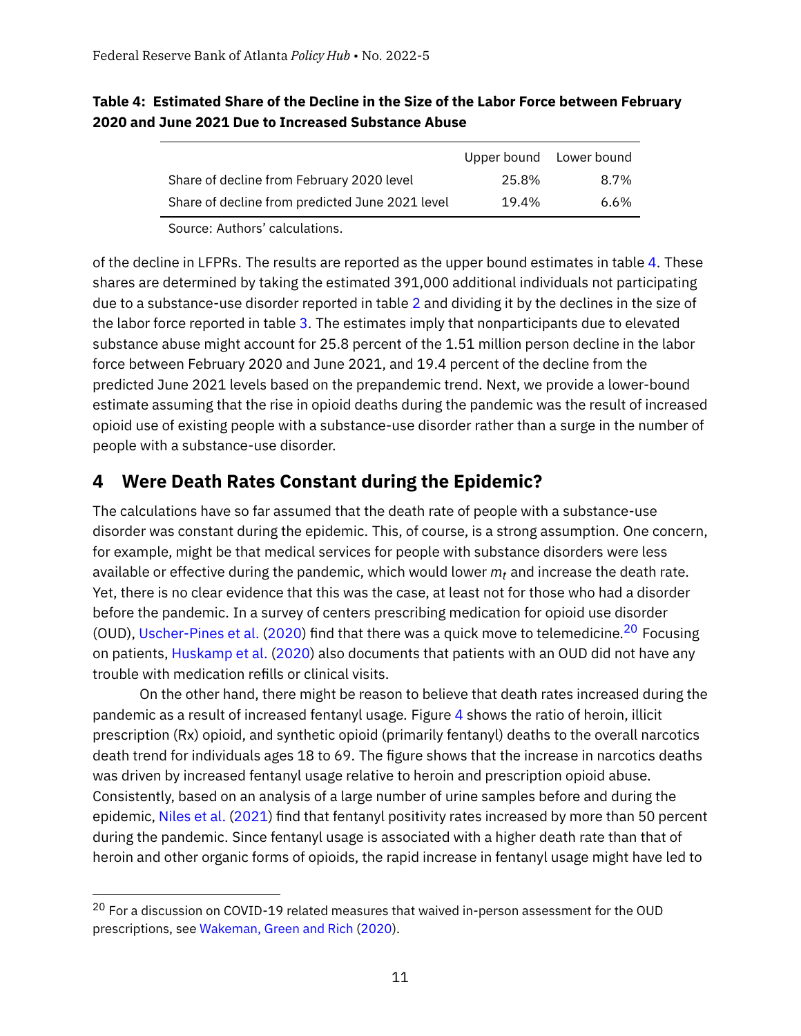### <span id="page-10-0"></span>**Table 4: Estimated Share of the Decline in the Size of the Labor Force between February 2020 and June 2021 Due to Increased Substance Abuse**

| 8.7%           |
|----------------|
| 6.6%           |
| 25.8%<br>19.4% |

Source: Authors' calculations.

of the decline in LFPRs. The results are reported as the upper bound estimates in table [4.](#page-10-0) These shares are determined by taking the estimated 391,000 additional individuals not participating due to a substance-use disorder reported in table [2](#page-8-1) and dividing it by the declines in the size of the labor force reported in table [3.](#page-9-0) The estimates imply that nonparticipants due to elevated substance abuse might account for 25.8 percent of the 1.51 million person decline in the labor force between February 2020 and June 2021, and 19.4 percent of the decline from the predicted June 2021 levels based on the prepandemic trend. Next, we provide a lower-bound estimate assuming that the rise in opioid deaths during the pandemic was the result of increased opioid use of existing people with a substance-use disorder rather than a surge in the number of people with a substance-use disorder.

## **4 Were Death Rates Constant during the Epidemic?**

The calculations have so far assumed that the death rate of people with a substance-use disorder was constant during the epidemic. This, of course, is a strong assumption. One concern, for example, might be that medical services for people with substance disorders were less available or effective during the pandemic, which would lower *mt* and increase the death rate. Yet, there is no clear evidence that this was the case, at least not for those who had a disorder before the pandemic. In a survey of centers prescribing medication for opioid use disorder (OUD), [Uscher-Pines et al.](#page-14-11) [\(2020\)](#page-14-11) find that there was a quick move to telemedicine.<sup>[20](#page-10-1)</sup> Focusing on patients, [Huskamp et al.](#page-14-12) [\(2020\)](#page-14-12) also documents that patients with an OUD did not have any trouble with medication refills or clinical visits.

On the other hand, there might be reason to believe that death rates increased during the pandemic as a result of increased fentanyl usage. Figure [4](#page-11-0) shows the ratio of heroin, illicit prescription (Rx) opioid, and synthetic opioid (primarily fentanyl) deaths to the overall narcotics death trend for individuals ages 18 to 69. The figure shows that the increase in narcotics deaths was driven by increased fentanyl usage relative to heroin and prescription opioid abuse. Consistently, based on an analysis of a large number of urine samples before and during the epidemic, [Niles et al.](#page-14-13) [\(2021\)](#page-14-13) find that fentanyl positivity rates increased by more than 50 percent during the pandemic. Since fentanyl usage is associated with a higher death rate than that of heroin and other organic forms of opioids, the rapid increase in fentanyl usage might have led to

<span id="page-10-1"></span> $20$  For a discussion on COVID-19 related measures that waived in-person assessment for the OUD prescriptions, see [Wakeman, Green and Rich](#page-15-2) [\(2020\)](#page-15-2).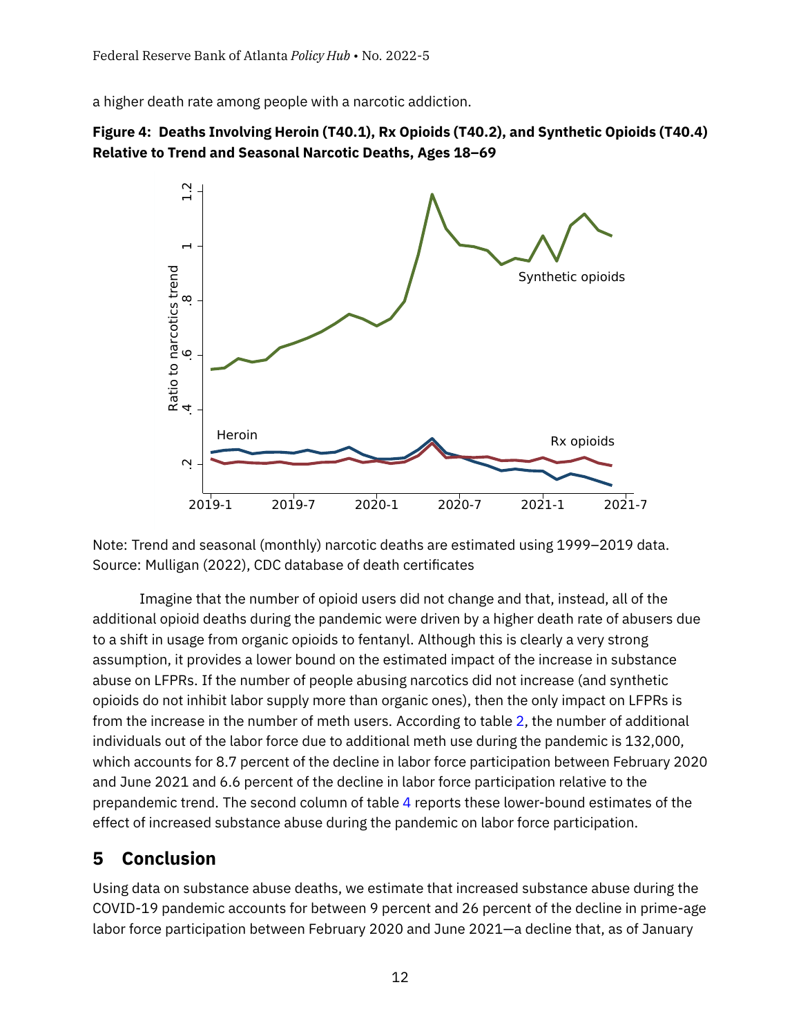a higher death rate among people with a narcotic addiction.

<span id="page-11-0"></span>



Note: Trend and seasonal (monthly) narcotic deaths are estimated using 1999–2019 data. Source: Mulligan (2022), CDC database of death certificates

Imagine that the number of opioid users did not change and that, instead, all of the additional opioid deaths during the pandemic were driven by a higher death rate of abusers due to a shift in usage from organic opioids to fentanyl. Although this is clearly a very strong assumption, it provides a lower bound on the estimated impact of the increase in substance abuse on LFPRs. If the number of people abusing narcotics did not increase (and synthetic opioids do not inhibit labor supply more than organic ones), then the only impact on LFPRs is from the increase in the number of meth users. According to table [2,](#page-8-1) the number of additional individuals out of the labor force due to additional meth use during the pandemic is 132,000, which accounts for 8.7 percent of the decline in labor force participation between February 2020 and June 2021 and 6.6 percent of the decline in labor force participation relative to the prepandemic trend. The second column of table [4](#page-10-0) reports these lower-bound estimates of the effect of increased substance abuse during the pandemic on labor force participation.

## **5 Conclusion**

Using data on substance abuse deaths, we estimate that increased substance abuse during the COVID-19 pandemic accounts for between 9 percent and 26 percent of the decline in prime-age labor force participation between February 2020 and June 2021—a decline that, as of January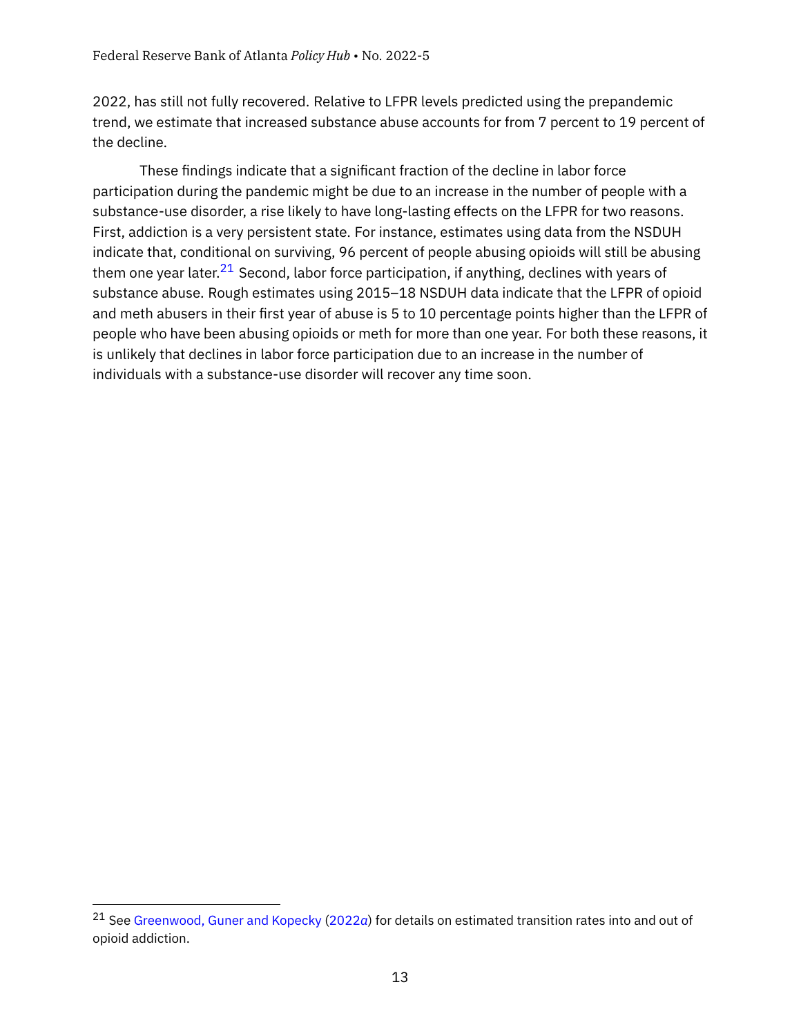2022, has still not fully recovered. Relative to LFPR levels predicted using the prepandemic trend, we estimate that increased substance abuse accounts for from 7 percent to 19 percent of the decline.

These findings indicate that a significant fraction of the decline in labor force participation during the pandemic might be due to an increase in the number of people with a substance-use disorder, a rise likely to have long-lasting effects on the LFPR for two reasons. First, addiction is a very persistent state. For instance, estimates using data from the NSDUH indicate that, conditional on surviving, 96 percent of people abusing opioids will still be abusing them one year later. $2^1$  Second, labor force participation, if anything, declines with years of substance abuse. Rough estimates using 2015–18 NSDUH data indicate that the LFPR of opioid and meth abusers in their first year of abuse is 5 to 10 percentage points higher than the LFPR of people who have been abusing opioids or meth for more than one year. For both these reasons, it is unlikely that declines in labor force participation due to an increase in the number of individuals with a substance-use disorder will recover any time soon.

<span id="page-12-0"></span><sup>21</sup> See [Greenwood, Guner and Kopecky](#page-14-3) [\(2022](#page-14-3)*a*) for details on estimated transition rates into and out of opioid addiction.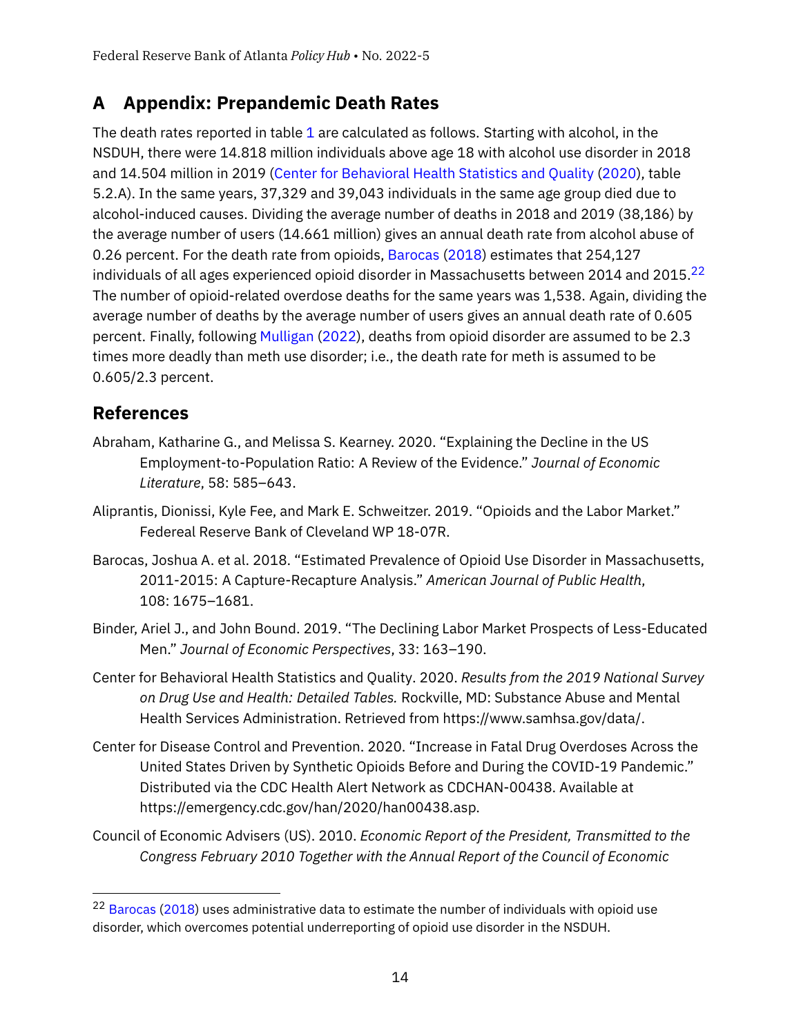## <span id="page-13-5"></span>**A Appendix: Prepandemic Death Rates**

The death rates reported in table [1](#page-7-0) are calculated as follows. Starting with alcohol, in the NSDUH, there were 14.818 million individuals above age 18 with alcohol use disorder in 2018 and 14.504 million in 2019 [\(Center for Behavioral Health Statistics and Quality](#page-13-6) [\(2020\)](#page-13-6), table 5.2.A). In the same years, 37,329 and 39,043 individuals in the same age group died due to alcohol-induced causes. Dividing the average number of deaths in 2018 and 2019 (38,186) by the average number of users (14.661 million) gives an annual death rate from alcohol abuse of 0.26 percent. For the death rate from opioids, [Barocas](#page-13-7) [\(2018\)](#page-13-7) estimates that 254,127 individuals of all ages experienced opioid disorder in Massachusetts between 2014 and 2015. $^{22}$  $^{22}$  $^{22}$ The number of opioid-related overdose deaths for the same years was 1,538. Again, dividing the average number of deaths by the average number of users gives an annual death rate of 0.605 percent. Finally, following [Mulligan](#page-14-8) [\(2022\)](#page-14-8), deaths from opioid disorder are assumed to be 2.3 times more deadly than meth use disorder; i.e., the death rate for meth is assumed to be 0.605/2.3 percent.

## **References**

- <span id="page-13-2"></span>Abraham, Katharine G., and Melissa S. Kearney. 2020. "Explaining the Decline in the US Employment-to-Population Ratio: A Review of the Evidence." *Journal of Economic Literature*, 58: 585–643.
- <span id="page-13-0"></span>Aliprantis, Dionissi, Kyle Fee, and Mark E. Schweitzer. 2019. "Opioids and the Labor Market." Federeal Reserve Bank of Cleveland WP 18-07R.
- <span id="page-13-7"></span>Barocas, Joshua A. et al. 2018. "Estimated Prevalence of Opioid Use Disorder in Massachusetts, 2011-2015: A Capture-Recapture Analysis." *American Journal of Public Health*, 108: 1675–1681.
- <span id="page-13-1"></span>Binder, Ariel J., and John Bound. 2019. "The Declining Labor Market Prospects of Less-Educated Men." *Journal of Economic Perspectives*, 33: 163–190.
- <span id="page-13-6"></span>Center for Behavioral Health Statistics and Quality. 2020. *Results from the 2019 National Survey on Drug Use and Health: Detailed Tables.* Rockville, MD: Substance Abuse and Mental Health Services Administration. Retrieved from https://www.samhsa.gov/data/.
- <span id="page-13-4"></span>Center for Disease Control and Prevention. 2020. "Increase in Fatal Drug Overdoses Across the United States Driven by Synthetic Opioids Before and During the COVID-19 Pandemic." Distributed via the CDC Health Alert Network as CDCHAN-00438. Available at https://emergency.cdc.gov/han/2020/han00438.asp.
- <span id="page-13-3"></span>Council of Economic Advisers (US). 2010. *Economic Report of the President, Transmitted to the Congress February 2010 Together with the Annual Report of the Council of Economic*

<span id="page-13-8"></span><sup>&</sup>lt;sup>22</sup> [Barocas](#page-13-7) [\(2018\)](#page-13-7) uses administrative data to estimate the number of individuals with opioid use disorder, which overcomes potential underreporting of opioid use disorder in the NSDUH.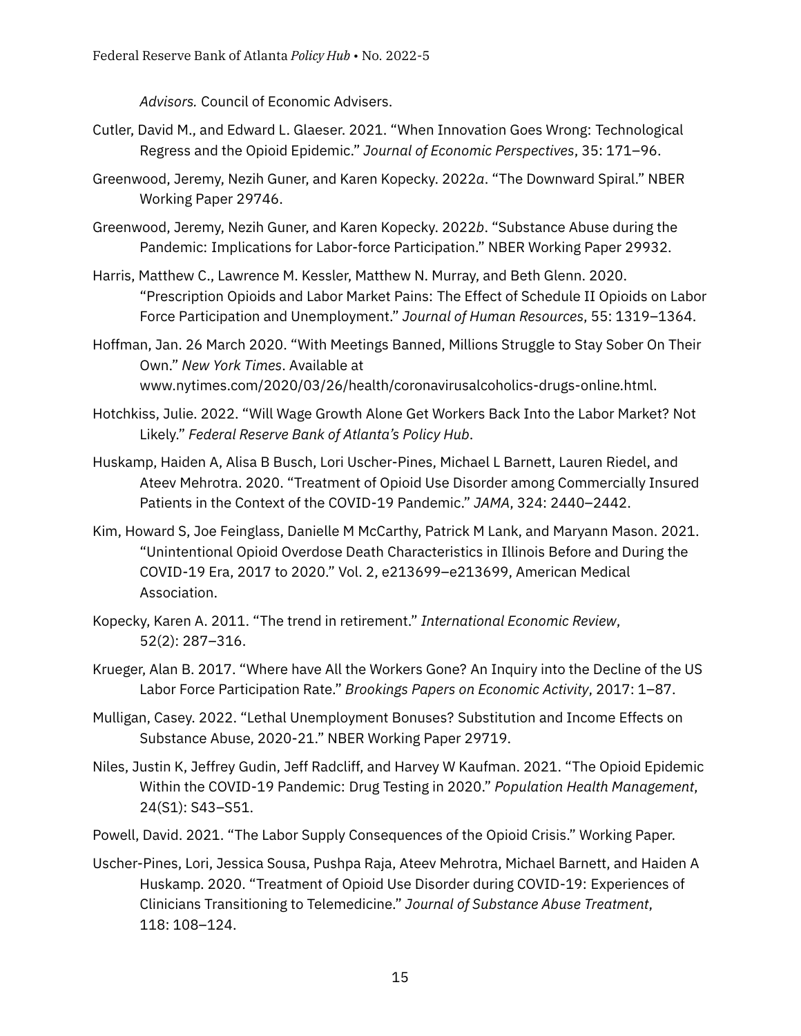*Advisors.* Council of Economic Advisers.

- <span id="page-14-2"></span>Cutler, David M., and Edward L. Glaeser. 2021. "When Innovation Goes Wrong: Technological Regress and the Opioid Epidemic." *Journal of Economic Perspectives*, 35: 171–96.
- <span id="page-14-3"></span>Greenwood, Jeremy, Nezih Guner, and Karen Kopecky. 2022*a*. "The Downward Spiral." NBER Working Paper 29746.
- <span id="page-14-0"></span>Greenwood, Jeremy, Nezih Guner, and Karen Kopecky. 2022*b*. "Substance Abuse during the Pandemic: Implications for Labor-force Participation." NBER Working Paper 29932.
- <span id="page-14-5"></span>Harris, Matthew C., Lawrence M. Kessler, Matthew N. Murray, and Beth Glenn. 2020. "Prescription Opioids and Labor Market Pains: The Effect of Schedule II Opioids on Labor Force Participation and Unemployment." *Journal of Human Resources*, 55: 1319–1364.
- <span id="page-14-1"></span>Hoffman, Jan. 26 March 2020. "With Meetings Banned, Millions Struggle to Stay Sober On Their Own." *New York Times*. Available at www.nytimes.com/2020/03/26/health/coronavirusalcoholics-drugs-online.html.
- <span id="page-14-7"></span>Hotchkiss, Julie. 2022. "Will Wage Growth Alone Get Workers Back Into the Labor Market? Not Likely." *Federal Reserve Bank of Atlanta's Policy Hub*.
- <span id="page-14-12"></span>Huskamp, Haiden A, Alisa B Busch, Lori Uscher-Pines, Michael L Barnett, Lauren Riedel, and Ateev Mehrotra. 2020. "Treatment of Opioid Use Disorder among Commercially Insured Patients in the Context of the COVID-19 Pandemic." *JAMA*, 324: 2440–2442.
- <span id="page-14-10"></span>Kim, Howard S, Joe Feinglass, Danielle M McCarthy, Patrick M Lank, and Maryann Mason. 2021. "Unintentional Opioid Overdose Death Characteristics in Illinois Before and During the COVID-19 Era, 2017 to 2020." Vol. 2, e213699–e213699, American Medical Association.
- <span id="page-14-9"></span>Kopecky, Karen A. 2011. "The trend in retirement." *International Economic Review*, 52(2): 287–316.
- <span id="page-14-4"></span>Krueger, Alan B. 2017. "Where have All the Workers Gone? An Inquiry into the Decline of the US Labor Force Participation Rate." *Brookings Papers on Economic Activity*, 2017: 1–87.
- <span id="page-14-8"></span>Mulligan, Casey. 2022. "Lethal Unemployment Bonuses? Substitution and Income Effects on Substance Abuse, 2020-21." NBER Working Paper 29719.
- <span id="page-14-13"></span>Niles, Justin K, Jeffrey Gudin, Jeff Radcliff, and Harvey W Kaufman. 2021. "The Opioid Epidemic Within the COVID-19 Pandemic: Drug Testing in 2020." *Population Health Management*, 24(S1): S43–S51.
- <span id="page-14-6"></span>Powell, David. 2021. "The Labor Supply Consequences of the Opioid Crisis." Working Paper.
- <span id="page-14-11"></span>Uscher-Pines, Lori, Jessica Sousa, Pushpa Raja, Ateev Mehrotra, Michael Barnett, and Haiden A Huskamp. 2020. "Treatment of Opioid Use Disorder during COVID-19: Experiences of Clinicians Transitioning to Telemedicine." *Journal of Substance Abuse Treatment*, 118: 108–124.